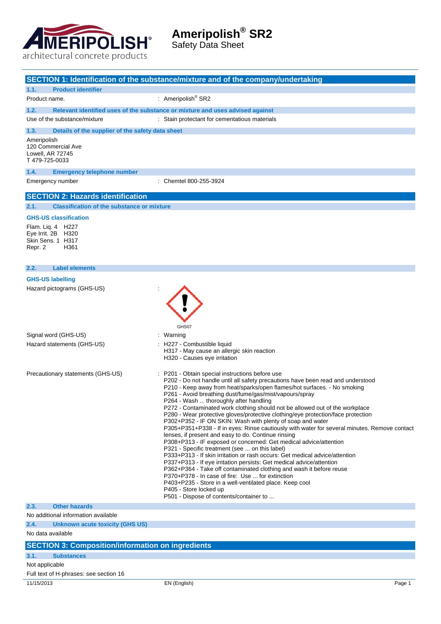

Safety Data Sheet

|                                                           | SECTION 1: Identification of the substance/mixture and of the company/undertaking                                                                                |        |
|-----------------------------------------------------------|------------------------------------------------------------------------------------------------------------------------------------------------------------------|--------|
| <b>Product identifier</b><br>1.1.                         |                                                                                                                                                                  |        |
| Product name.                                             | : Ameripolish <sup>®</sup> SR2                                                                                                                                   |        |
| 1.2.                                                      | Relevant identified uses of the substance or mixture and uses advised against                                                                                    |        |
| Use of the substance/mixture                              | : Stain protectant for cementatious materials                                                                                                                    |        |
| 1.3.<br>Details of the supplier of the safety data sheet  |                                                                                                                                                                  |        |
| Ameripolish                                               |                                                                                                                                                                  |        |
| 120 Commercial Ave<br>Lowell, AR 72745                    |                                                                                                                                                                  |        |
| T479-725-0033                                             |                                                                                                                                                                  |        |
| 1.4.<br><b>Emergency telephone number</b>                 |                                                                                                                                                                  |        |
| Emergency number                                          | : Chemtel 800-255-3924                                                                                                                                           |        |
|                                                           |                                                                                                                                                                  |        |
| <b>SECTION 2: Hazards identification</b>                  |                                                                                                                                                                  |        |
| 2.1.<br><b>Classification of the substance or mixture</b> |                                                                                                                                                                  |        |
| <b>GHS-US classification</b>                              |                                                                                                                                                                  |        |
| Flam. Liq. 4 H227<br>Eye Irrit. 2B H320                   |                                                                                                                                                                  |        |
| Skin Sens. 1 H317                                         |                                                                                                                                                                  |        |
| Repr. 2<br>H361                                           |                                                                                                                                                                  |        |
|                                                           |                                                                                                                                                                  |        |
| <b>Label elements</b><br>2.2.                             |                                                                                                                                                                  |        |
| <b>GHS-US labelling</b>                                   |                                                                                                                                                                  |        |
| Hazard pictograms (GHS-US)                                |                                                                                                                                                                  |        |
|                                                           |                                                                                                                                                                  |        |
|                                                           |                                                                                                                                                                  |        |
|                                                           |                                                                                                                                                                  |        |
| Signal word (GHS-US)                                      | GHS07<br>Warning                                                                                                                                                 |        |
| Hazard statements (GHS-US)                                | H227 - Combustible liquid                                                                                                                                        |        |
|                                                           | H317 - May cause an allergic skin reaction                                                                                                                       |        |
|                                                           | H320 - Causes eye irritation                                                                                                                                     |        |
| Precautionary statements (GHS-US)                         | P201 - Obtain special instructions before use                                                                                                                    |        |
|                                                           | P202 - Do not handle until all safety precautions have been read and understood                                                                                  |        |
|                                                           | P210 - Keep away from heat/sparks/open flames/hot surfaces. - No smoking<br>P261 - Avoid breathing dust/fume/gas/mist/vapours/spray                              |        |
|                                                           | P264 - Wash  thoroughly after handling                                                                                                                           |        |
|                                                           | P272 - Contaminated work clothing should not be allowed out of the workplace<br>P280 - Wear protective gloves/protective clothing/eye protection/face protection |        |
|                                                           | P302+P352 - IF ON SKIN: Wash with plenty of soap and water                                                                                                       |        |
|                                                           | P305+P351+P338 - If in eyes: Rinse cautiously with water for several minutes. Remove contact<br>lenses, if present and easy to do. Continue rinsing              |        |
|                                                           | P308+P313 - IF exposed or concerned: Get medical advice/attention                                                                                                |        |
|                                                           | P321 - Specific treatment (see  on this label)<br>P333+P313 - If skin irritation or rash occurs: Get medical advice/attention                                    |        |
|                                                           | P337+P313 - If eye irritation persists: Get medical advice/attention                                                                                             |        |
|                                                           | P362+P364 - Take off contaminated clothing and wash it before reuse                                                                                              |        |
|                                                           | P370+P378 - In case of fire: Use  for extinction<br>P403+P235 - Store in a well-ventilated place. Keep cool                                                      |        |
|                                                           | P405 - Store locked up                                                                                                                                           |        |
| 2.3.<br><b>Other hazards</b>                              | P501 - Dispose of contents/container to                                                                                                                          |        |
| No additional information available                       |                                                                                                                                                                  |        |
| 2.4.<br>Unknown acute toxicity (GHS US)                   |                                                                                                                                                                  |        |
| No data available                                         |                                                                                                                                                                  |        |
| <b>SECTION 3: Composition/information on ingredients</b>  |                                                                                                                                                                  |        |
| 3.1.<br><b>Substances</b>                                 |                                                                                                                                                                  |        |
| Not applicable                                            |                                                                                                                                                                  |        |
| Full text of H-phrases: see section 16                    |                                                                                                                                                                  |        |
| 11/15/2013                                                | EN (English)                                                                                                                                                     | Page 1 |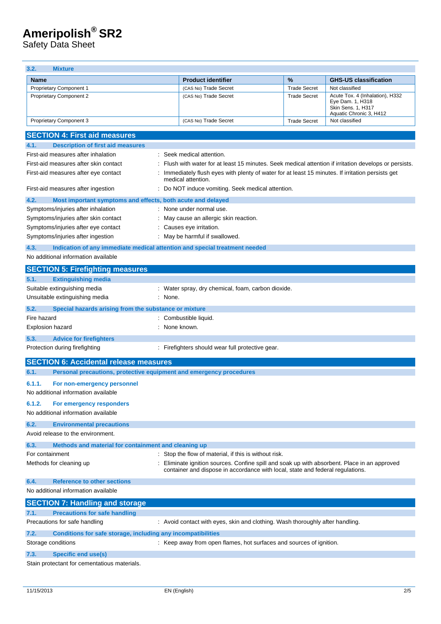Safety Data Sheet

| 3.2.<br><b>Mixture</b>                                                             |                                                                                                                                                                              |                     |                                                                                                      |
|------------------------------------------------------------------------------------|------------------------------------------------------------------------------------------------------------------------------------------------------------------------------|---------------------|------------------------------------------------------------------------------------------------------|
| <b>Name</b>                                                                        | <b>Product identifier</b>                                                                                                                                                    | $\%$                | <b>GHS-US classification</b>                                                                         |
| Proprietary Component 1                                                            | (CAS No) Trade Secret                                                                                                                                                        | <b>Trade Secret</b> | Not classified                                                                                       |
| <b>Proprietary Component 2</b>                                                     | (CAS No) Trade Secret                                                                                                                                                        | <b>Trade Secret</b> | Acute Tox. 4 (Inhalation), H332<br>Eye Dam. 1, H318<br>Skin Sens. 1, H317<br>Aquatic Chronic 3, H412 |
| Proprietary Component 3                                                            | (CAS No) Trade Secret                                                                                                                                                        | <b>Trade Secret</b> | Not classified                                                                                       |
| <b>SECTION 4: First aid measures</b>                                               |                                                                                                                                                                              |                     |                                                                                                      |
| <b>Description of first aid measures</b><br>4.1.                                   |                                                                                                                                                                              |                     |                                                                                                      |
| First-aid measures after inhalation                                                | Seek medical attention.                                                                                                                                                      |                     |                                                                                                      |
| First-aid measures after skin contact                                              | Flush with water for at least 15 minutes. Seek medical attention if irritation develops or persists.                                                                         |                     |                                                                                                      |
| First-aid measures after eye contact                                               | Immediately flush eyes with plenty of water for at least 15 minutes. If irritation persists get<br>medical attention.                                                        |                     |                                                                                                      |
| First-aid measures after ingestion                                                 | Do NOT induce vomiting. Seek medical attention.                                                                                                                              |                     |                                                                                                      |
| 4.2.<br>Most important symptoms and effects, both acute and delayed                |                                                                                                                                                                              |                     |                                                                                                      |
| Symptoms/injuries after inhalation                                                 | None under normal use.                                                                                                                                                       |                     |                                                                                                      |
| Symptoms/injuries after skin contact                                               | May cause an allergic skin reaction.                                                                                                                                         |                     |                                                                                                      |
| Symptoms/injuries after eye contact                                                | Causes eye irritation.                                                                                                                                                       |                     |                                                                                                      |
| Symptoms/injuries after ingestion                                                  | May be harmful if swallowed.                                                                                                                                                 |                     |                                                                                                      |
| 4.3.<br>Indication of any immediate medical attention and special treatment needed |                                                                                                                                                                              |                     |                                                                                                      |
| No additional information available                                                |                                                                                                                                                                              |                     |                                                                                                      |
| <b>SECTION 5: Firefighting measures</b>                                            |                                                                                                                                                                              |                     |                                                                                                      |
| <b>Extinguishing media</b><br>5.1.                                                 |                                                                                                                                                                              |                     |                                                                                                      |
| Suitable extinguishing media                                                       | : Water spray, dry chemical, foam, carbon dioxide.                                                                                                                           |                     |                                                                                                      |
| Unsuitable extinguishing media<br>: None.                                          |                                                                                                                                                                              |                     |                                                                                                      |
| 5.2.<br>Special hazards arising from the substance or mixture                      |                                                                                                                                                                              |                     |                                                                                                      |
| Fire hazard                                                                        | Combustible liquid.                                                                                                                                                          |                     |                                                                                                      |
| Explosion hazard                                                                   | None known.                                                                                                                                                                  |                     |                                                                                                      |
| 5.3.<br><b>Advice for firefighters</b>                                             |                                                                                                                                                                              |                     |                                                                                                      |
| Protection during firefighting                                                     | : Firefighters should wear full protective gear.                                                                                                                             |                     |                                                                                                      |
| <b>SECTION 6: Accidental release measures</b>                                      |                                                                                                                                                                              |                     |                                                                                                      |
| 6.1.<br>Personal precautions, protective equipment and emergency procedures        |                                                                                                                                                                              |                     |                                                                                                      |
| 6.1.1.                                                                             |                                                                                                                                                                              |                     |                                                                                                      |
| For non-emergency personnel<br>No additional information available                 |                                                                                                                                                                              |                     |                                                                                                      |
| For emergency responders<br>6.1.2.                                                 |                                                                                                                                                                              |                     |                                                                                                      |
| No additional information available                                                |                                                                                                                                                                              |                     |                                                                                                      |
| 6.2.<br><b>Environmental precautions</b>                                           |                                                                                                                                                                              |                     |                                                                                                      |
| Avoid release to the environment.                                                  |                                                                                                                                                                              |                     |                                                                                                      |
| 6.3.<br>Methods and material for containment and cleaning up                       |                                                                                                                                                                              |                     |                                                                                                      |
| For containment                                                                    | Stop the flow of material, if this is without risk.                                                                                                                          |                     |                                                                                                      |
| Methods for cleaning up                                                            | Eliminate ignition sources. Confine spill and soak up with absorbent. Place in an approved<br>container and dispose in accordance with local, state and federal regulations. |                     |                                                                                                      |
| <b>Reference to other sections</b><br>6.4.                                         |                                                                                                                                                                              |                     |                                                                                                      |
| No additional information available                                                |                                                                                                                                                                              |                     |                                                                                                      |
| <b>SECTION 7: Handling and storage</b>                                             |                                                                                                                                                                              |                     |                                                                                                      |
| <b>Precautions for safe handling</b><br>7.1.                                       |                                                                                                                                                                              |                     |                                                                                                      |
| Precautions for safe handling                                                      | : Avoid contact with eyes, skin and clothing. Wash thoroughly after handling.                                                                                                |                     |                                                                                                      |
| 7.2.<br>Conditions for safe storage, including any incompatibilities               |                                                                                                                                                                              |                     |                                                                                                      |
| Storage conditions                                                                 | : Keep away from open flames, hot surfaces and sources of ignition.                                                                                                          |                     |                                                                                                      |
| 7.3.<br><b>Specific end use(s)</b>                                                 |                                                                                                                                                                              |                     |                                                                                                      |
| Stain protectant for cementatious materials.                                       |                                                                                                                                                                              |                     |                                                                                                      |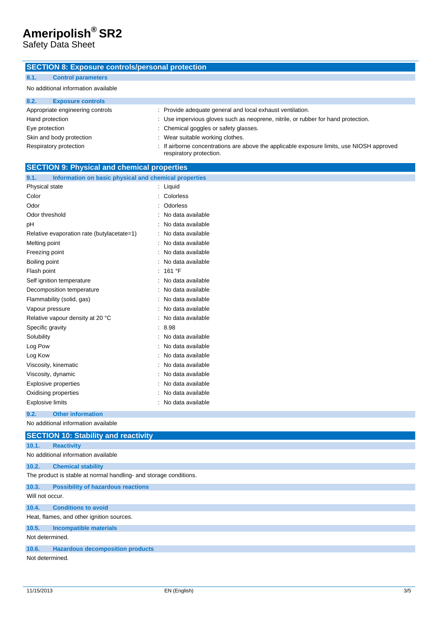Safety Data Sheet

#### **SECTION 8: Exposure controls/personal protection**

### **8.1. Control parameters**

#### No additional information available

| 8.2.<br><b>Exposure controls</b> |                                                                                                                      |
|----------------------------------|----------------------------------------------------------------------------------------------------------------------|
| Appropriate engineering controls | : Provide adequate general and local exhaust ventilation.                                                            |
| Hand protection                  | : Use impervious gloves such as neoprene, nitrile, or rubber for hand protection.                                    |
| Eye protection                   | : Chemical goggles or safety glasses.                                                                                |
| Skin and body protection         | : Wear suitable working clothes.                                                                                     |
| Respiratory protection           | : If airborne concentrations are above the applicable exposure limits, use NIOSH approved<br>respiratory protection. |

| <b>SECTION 9: Physical and chemical properties</b>                |                   |  |
|-------------------------------------------------------------------|-------------------|--|
| Information on basic physical and chemical properties<br>9.1.     |                   |  |
| Physical state                                                    | Liquid            |  |
| Color                                                             | Colorless         |  |
| Odor                                                              | Odorless          |  |
| Odor threshold                                                    | No data available |  |
| рH                                                                | No data available |  |
| Relative evaporation rate (butylacetate=1)                        | No data available |  |
| Melting point                                                     | No data available |  |
| Freezing point                                                    | No data available |  |
| Boiling point                                                     | No data available |  |
| Flash point                                                       | 161 °F            |  |
| Self ignition temperature                                         | No data available |  |
| Decomposition temperature                                         | No data available |  |
| Flammability (solid, gas)                                         | No data available |  |
| Vapour pressure                                                   | No data available |  |
| Relative vapour density at 20 °C                                  | No data available |  |
| Specific gravity                                                  | 8.98              |  |
| Solubility                                                        | No data available |  |
| Log Pow                                                           | No data available |  |
| Log Kow                                                           | No data available |  |
| Viscosity, kinematic                                              | No data available |  |
| Viscosity, dynamic                                                | No data available |  |
| <b>Explosive properties</b>                                       | No data available |  |
| Oxidising properties                                              | No data available |  |
| <b>Explosive limits</b>                                           | No data available |  |
| 9.2.<br><b>Other information</b>                                  |                   |  |
| No additional information available                               |                   |  |
| <b>SECTION 10: Stability and reactivity</b>                       |                   |  |
| 10.1.<br><b>Reactivity</b>                                        |                   |  |
| No additional information available                               |                   |  |
| 10.2.<br><b>Chemical stability</b>                                |                   |  |
| The product is stable at normal handling- and storage conditions. |                   |  |
| 10.3.<br><b>Possibility of hazardous reactions</b>                |                   |  |
| Will not occur.                                                   |                   |  |
| 10.4.<br><b>Conditions to avoid</b>                               |                   |  |
| Heat, flames, and other ignition sources.                         |                   |  |
| 10.5.<br><b>Incompatible materials</b>                            |                   |  |
| Not determined.                                                   |                   |  |
| <b>Hazardous decomposition products</b><br>10.6.                  |                   |  |
| Not determined.                                                   |                   |  |
|                                                                   |                   |  |
|                                                                   |                   |  |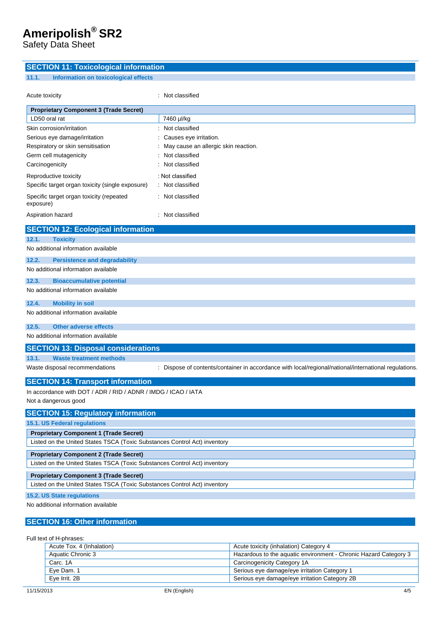Safety Data Sheet

#### **SECTION 11: Toxicological information**

#### **11.1. Information on toxicological effects**

| Acute toxicity                                                                         | : Not classified                                                                                   |
|----------------------------------------------------------------------------------------|----------------------------------------------------------------------------------------------------|
| <b>Proprietary Component 3 (Trade Secret)</b>                                          |                                                                                                    |
| LD50 oral rat                                                                          | 7460 µl/kg                                                                                         |
| Skin corrosion/irritation                                                              | Not classified                                                                                     |
| Serious eye damage/irritation                                                          | Causes eye irritation.                                                                             |
| Respiratory or skin sensitisation                                                      | May cause an allergic skin reaction.                                                               |
| Germ cell mutagenicity                                                                 | Not classified                                                                                     |
| Carcinogenicity                                                                        | Not classified                                                                                     |
| Reproductive toxicity                                                                  | : Not classified                                                                                   |
| Specific target organ toxicity (single exposure)                                       | : Not classified                                                                                   |
| Specific target organ toxicity (repeated<br>exposure)                                  | Not classified                                                                                     |
| Aspiration hazard                                                                      | : Not classified                                                                                   |
| <b>SECTION 12: Ecological information</b>                                              |                                                                                                    |
| 12.1.<br><b>Toxicity</b>                                                               |                                                                                                    |
| No additional information available                                                    |                                                                                                    |
| 12.2.<br><b>Persistence and degradability</b>                                          |                                                                                                    |
| No additional information available                                                    |                                                                                                    |
| 12.3.<br><b>Bioaccumulative potential</b>                                              |                                                                                                    |
| No additional information available                                                    |                                                                                                    |
| 12.4.<br><b>Mobility in soil</b>                                                       |                                                                                                    |
| No additional information available                                                    |                                                                                                    |
| <b>Other adverse effects</b><br>12.5.                                                  |                                                                                                    |
| No additional information available                                                    |                                                                                                    |
| <b>SECTION 13: Disposal considerations</b>                                             |                                                                                                    |
| 13.1.<br><b>Waste treatment methods</b>                                                |                                                                                                    |
| Waste disposal recommendations                                                         | Dispose of contents/container in accordance with local/regional/national/international regulations |
| <b>SECTION 14: Transport information</b>                                               |                                                                                                    |
| In accordance with DOT / ADR / RID / ADNR / IMDG / ICAO / IATA<br>Not a dangerous good |                                                                                                    |
| <b>SECTION 15: Regulatory information</b>                                              |                                                                                                    |
| 15.1. US Federal regulations                                                           |                                                                                                    |
| <b>Proprietary Component 1 (Trade Secret)</b>                                          |                                                                                                    |
| Listed on the United States TSCA (Toxic Substances Control Act) inventory              |                                                                                                    |
| <b>Proprietary Component 2 (Trade Secret)</b>                                          |                                                                                                    |
| Listed on the United States TSCA (Toxic Substances Control Act) inventory              |                                                                                                    |
| <b>Proprietary Component 3 (Trade Secret)</b>                                          |                                                                                                    |
| Listed on the United States TSCA (Toxic Substances Control Act) inventory              |                                                                                                    |
| 15.2. US State regulations                                                             |                                                                                                    |

No additional information available

#### **SECTION 16: Other information**

Full text of H-phrases:

| Acute Tox. 4 (Inhalation) | Acute toxicity (inhalation) Category 4                           |
|---------------------------|------------------------------------------------------------------|
| Aquatic Chronic 3         | Hazardous to the aquatic environment - Chronic Hazard Category 3 |
| Carc. 1A                  | Carcinogenicity Category 1A                                      |
| Eve Dam, 1                | Serious eye damage/eye irritation Category 1                     |
| Eve Irrit, 2B             | Serious eye damage/eye irritation Category 2B                    |